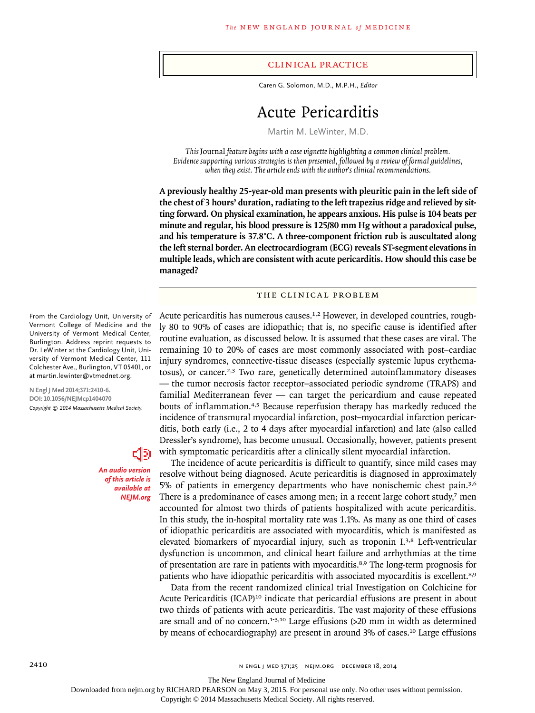#### clinical practice

Caren G. Solomon, M.D., M.P.H., *Editor*

# Acute Pericarditis

Martin M. LeWinter, M.D.

*This* Journal *feature begins with a case vignette highlighting a common clinical problem. Evidence supporting various strategies is then presented, followed by a review of formal guidelines, when they exist. The article ends with the author's clinical recommendations.* 

**A previously healthy 25-year-old man presents with pleuritic pain in the left side of the chest of 3 hours' duration, radiating to the left trapezius ridge and relieved by sitting forward. On physical examination, he appears anxious. His pulse is 104 beats per minute and regular, his blood pressure is 125/80 mm Hg without a paradoxical pulse, and his temperature is 37.8°C. A three-component friction rub is auscultated along the left sternal border. An electrocardiogram (ECG) reveals ST-segment elevations in multiple leads, which are consistent with acute pericarditis. How should this case be managed?**

# The Clinical Problem

Acute pericarditis has numerous causes.1,2 However, in developed countries, roughly 80 to 90% of cases are idiopathic; that is, no specific cause is identified after routine evaluation, as discussed below. It is assumed that these cases are viral. The remaining 10 to 20% of cases are most commonly associated with post–cardiac injury syndromes, connective-tissue diseases (especially systemic lupus erythematosus), or cancer.<sup>2,3</sup> Two rare, genetically determined autoinflammatory diseases — the tumor necrosis factor receptor–associated periodic syndrome (TRAPS) and familial Mediterranean fever — can target the pericardium and cause repeated bouts of inflammation.4,5 Because reperfusion therapy has markedly reduced the incidence of transmural myocardial infarction, post–myocardial infarction pericarditis, both early (i.e., 2 to 4 days after myocardial infarction) and late (also called Dressler's syndrome), has become unusual. Occasionally, however, patients present with symptomatic pericarditis after a clinically silent myocardial infarction.

The incidence of acute pericarditis is difficult to quantify, since mild cases may resolve without being diagnosed. Acute pericarditis is diagnosed in approximately 5% of patients in emergency departments who have nonischemic chest pain.3,6 There is a predominance of cases among men; in a recent large cohort study, $\tau$  men accounted for almost two thirds of patients hospitalized with acute pericarditis. In this study, the in-hospital mortality rate was 1.1%. As many as one third of cases of idiopathic pericarditis are associated with myocarditis, which is manifested as elevated biomarkers of myocardial injury, such as troponin I.3,8 Left-ventricular dysfunction is uncommon, and clinical heart failure and arrhythmias at the time of presentation are rare in patients with myocarditis.8,9 The long-term prognosis for patients who have idiopathic pericarditis with associated myocarditis is excellent.<sup>8,9</sup>

Data from the recent randomized clinical trial Investigation on Colchicine for Acute Pericarditis (ICAP)<sup>10</sup> indicate that pericardial effusions are present in about two thirds of patients with acute pericarditis. The vast majority of these effusions are small and of no concern.<sup>1-3,10</sup> Large effusions (>20 mm in width as determined by means of echocardiography) are present in around 3% of cases.<sup>10</sup> Large effusions

From the Cardiology Unit, University of Vermont College of Medicine and the University of Vermont Medical Center, Burlington. Address reprint requests to Dr. LeWinter at the Cardiology Unit, University of Vermont Medical Center, 111 Colchester Ave., Burlington, VT 05401, or at martin.lewinter@vtmednet.org.

**N Engl J Med 2014;371:2410-6. DOI: 10.1056/NEJMcp1404070** *Copyright © 2014 Massachusetts Medical Society.*

> *An audio version of this article is available at NEJM.org*

데3

2410 **N ENGL J MED 371;25 NEIM.ORG DECEMBER 18, 2014** 

The New England Journal of Medicine

Downloaded from nejm.org by RICHARD PEARSON on May 3, 2015. For personal use only. No other uses without permission.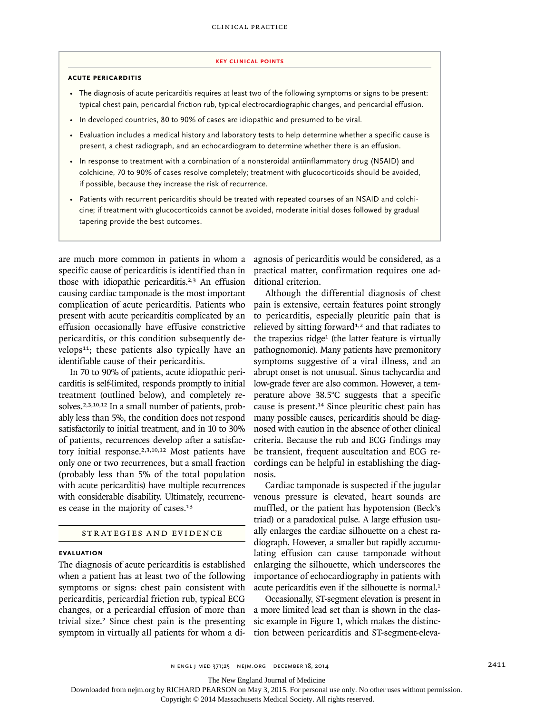#### **key Clinical points**

## **Acute Pericarditis**

- The diagnosis of acute pericarditis requires at least two of the following symptoms or signs to be present: typical chest pain, pericardial friction rub, typical electrocardiographic changes, and pericardial effusion.
- In developed countries, 80 to 90% of cases are idiopathic and presumed to be viral.
- Evaluation includes a medical history and laboratory tests to help determine whether a specific cause is present, a chest radiograph, and an echocardiogram to determine whether there is an effusion.
- In response to treatment with a combination of a nonsteroidal antiinflammatory drug (NSAID) and colchicine, 70 to 90% of cases resolve completely; treatment with glucocorticoids should be avoided, if possible, because they increase the risk of recurrence.
- Patients with recurrent pericarditis should be treated with repeated courses of an NSAID and colchicine; if treatment with glucocorticoids cannot be avoided, moderate initial doses followed by gradual tapering provide the best outcomes.

are much more common in patients in whom a specific cause of pericarditis is identified than in those with idiopathic pericarditis.2,3 An effusion causing cardiac tamponade is the most important complication of acute pericarditis. Patients who present with acute pericarditis complicated by an effusion occasionally have effusive constrictive pericarditis, or this condition subsequently develops<sup>11</sup>; these patients also typically have an identifiable cause of their pericarditis.

In 70 to 90% of patients, acute idiopathic pericarditis is self-limited, responds promptly to initial treatment (outlined below), and completely resolves.2,3,10,12 In a small number of patients, probably less than 5%, the condition does not respond satisfactorily to initial treatment, and in 10 to 30% of patients, recurrences develop after a satisfactory initial response.<sup>2,3,10,12</sup> Most patients have only one or two recurrences, but a small fraction (probably less than 5% of the total population with acute pericarditis) have multiple recurrences with considerable disability. Ultimately, recurrences cease in the majority of cases.<sup>13</sup>

# Strategies and Evidence

# **Evaluation**

The diagnosis of acute pericarditis is established when a patient has at least two of the following symptoms or signs: chest pain consistent with pericarditis, pericardial friction rub, typical ECG changes, or a pericardial effusion of more than trivial size.2 Since chest pain is the presenting symptom in virtually all patients for whom a diagnosis of pericarditis would be considered, as a practical matter, confirmation requires one additional criterion.

Although the differential diagnosis of chest pain is extensive, certain features point strongly to pericarditis, especially pleuritic pain that is relieved by sitting forward<sup>1,2</sup> and that radiates to the trapezius ridge<sup>1</sup> (the latter feature is virtually pathognomonic). Many patients have premonitory symptoms suggestive of a viral illness, and an abrupt onset is not unusual. Sinus tachycardia and low-grade fever are also common. However, a temperature above 38.5°C suggests that a specific cause is present.14 Since pleuritic chest pain has many possible causes, pericarditis should be diagnosed with caution in the absence of other clinical criteria. Because the rub and ECG findings may be transient, frequent auscultation and ECG recordings can be helpful in establishing the diagnosis.

Cardiac tamponade is suspected if the jugular venous pressure is elevated, heart sounds are muffled, or the patient has hypotension (Beck's triad) or a paradoxical pulse. A large effusion usually enlarges the cardiac silhouette on a chest radiograph. However, a smaller but rapidly accumulating effusion can cause tamponade without enlarging the silhouette, which underscores the importance of echocardiography in patients with acute pericarditis even if the silhouette is normal.<sup>1</sup>

Occasionally, ST-segment elevation is present in a more limited lead set than is shown in the classic example in Figure 1, which makes the distinction between pericarditis and ST-segment-eleva-

The New England Journal of Medicine

Downloaded from nejm.org by RICHARD PEARSON on May 3, 2015. For personal use only. No other uses without permission.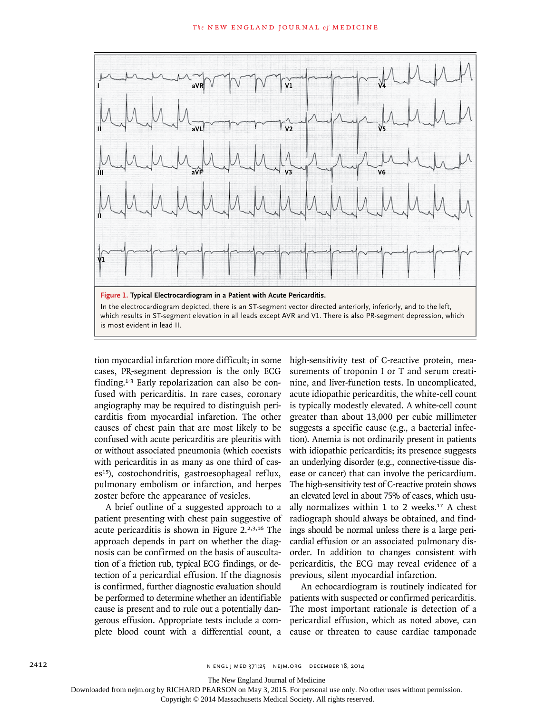

tion myocardial infarction more difficult; in some cases, PR-segment depression is the only ECG finding.1-3 Early repolarization can also be confused with pericarditis. In rare cases, coronary angiography may be required to distinguish pericarditis from myocardial infarction. The other causes of chest pain that are most likely to be confused with acute pericarditis are pleuritis with or without associated pneumonia (which coexists with pericarditis in as many as one third of cases<sup>15</sup>), costochondritis, gastroesophageal reflux, pulmonary embolism or infarction, and herpes zoster before the appearance of vesicles.

A brief outline of a suggested approach to a patient presenting with chest pain suggestive of acute pericarditis is shown in Figure 2.2,3,16 The approach depends in part on whether the diagnosis can be confirmed on the basis of auscultation of a friction rub, typical ECG findings, or detection of a pericardial effusion. If the diagnosis is confirmed, further diagnostic evaluation should be performed to determine whether an identifiable cause is present and to rule out a potentially dangerous effusion. Appropriate tests include a complete blood count with a differential count, a high-sensitivity test of C-reactive protein, measurements of troponin I or T and serum creatinine, and liver-function tests. In uncomplicated, acute idiopathic pericarditis, the white-cell count is typically modestly elevated. A white-cell count greater than about 13,000 per cubic millimeter suggests a specific cause (e.g., a bacterial infection). Anemia is not ordinarily present in patients with idiopathic pericarditis; its presence suggests an underlying disorder (e.g., connective-tissue disease or cancer) that can involve the pericardium. The high-sensitivity test of C-reactive protein shows an elevated level in about 75% of cases, which usually normalizes within 1 to 2 weeks. $17$  A chest radiograph should always be obtained, and findings should be normal unless there is a large pericardial effusion or an associated pulmonary disorder. In addition to changes consistent with pericarditis, the ECG may reveal evidence of a previous, silent myocardial infarction.

An echocardiogram is routinely indicated for patients with suspected or confirmed pericarditis. The most important rationale is detection of a pericardial effusion, which as noted above, can cause or threaten to cause cardiac tamponade

The New England Journal of Medicine

Downloaded from nejm.org by RICHARD PEARSON on May 3, 2015. For personal use only. No other uses without permission.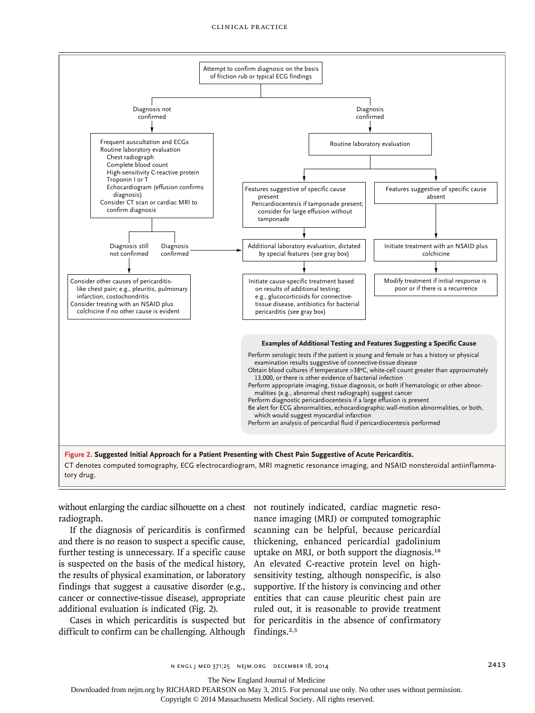

CT denotes computed tomography, ECG electrocardiogram, MRI magnetic resonance imaging, and NSAID nonsteroidal antiinflammatory drug.

without enlarging the cardiac silhouette on a chest not routinely indicated, cardiac magnetic resoradiograph.

If the diagnosis of pericarditis is confirmed and there is no reason to suspect a specific cause, further testing is unnecessary. If a specific cause is suspected on the basis of the medical history, the results of physical examination, or laboratory findings that suggest a causative disorder (e.g., cancer or connective-tissue disease), appropriate additional evaluation is indicated (Fig. 2).

Cases in which pericarditis is suspected but difficult to confirm can be challenging. Although

nance imaging (MRI) or computed tomographic scanning can be helpful, because pericardial thickening, enhanced pericardial gadolinium uptake on MRI, or both support the diagnosis.<sup>18</sup> An elevated C-reactive protein level on highsensitivity testing, although nonspecific, is also supportive. If the history is convincing and other entities that can cause pleuritic chest pain are ruled out, it is reasonable to provide treatment for pericarditis in the absence of confirmatory findings.2,3

n ENGL | MED 371;25 NEJM.ORG DECEMBER 18, 2014 2015 2015 2015

The New England Journal of Medicine

Downloaded from nejm.org by RICHARD PEARSON on May 3, 2015. For personal use only. No other uses without permission.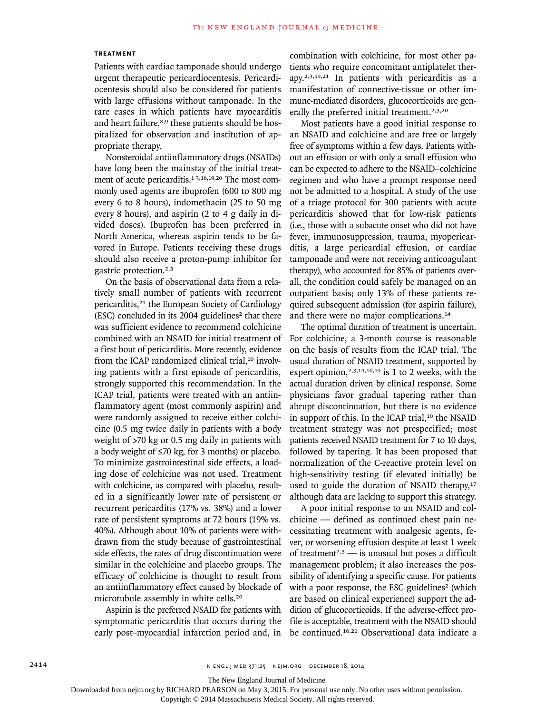## **Treatment**

Patients with cardiac tamponade should undergo urgent therapeutic pericardiocentesis. Pericardiocentesis should also be considered for patients with large effusions without tamponade. In the rare cases in which patients have myocarditis and heart failure,<sup>8,9</sup> these patients should be hospitalized for observation and institution of appropriate therapy.

Nonsteroidal antiinflammatory drugs (NSAIDs) have long been the mainstay of the initial treatment of acute pericarditis.<sup>1-3,16,19,20</sup> The most commonly used agents are ibuprofen (600 to 800 mg every 6 to 8 hours), indomethacin (25 to 50 mg every 8 hours), and aspirin (2 to 4 g daily in divided doses). Ibuprofen has been preferred in North America, whereas aspirin tends to be favored in Europe. Patients receiving these drugs should also receive a proton-pump inhibitor for gastric protection.2,3

On the basis of observational data from a relatively small number of patients with recurrent pericarditis,<sup>21</sup> the European Society of Cardiology  $(ESC)$  concluded in its 2004 guidelines<sup>2</sup> that there was sufficient evidence to recommend colchicine combined with an NSAID for initial treatment of a first bout of pericarditis. More recently, evidence from the ICAP randomized clinical trial,<sup>10</sup> involving patients with a first episode of pericarditis, strongly supported this recommendation. In the ICAP trial, patients were treated with an antiinflammatory agent (most commonly aspirin) and were randomly assigned to receive either colchicine (0.5 mg twice daily in patients with a body weight of >70 kg or 0.5 mg daily in patients with a body weight of ≤70 kg, for 3 months) or placebo. To minimize gastrointestinal side effects, a loading dose of colchicine was not used. Treatment with colchicine, as compared with placebo, resulted in a significantly lower rate of persistent or recurrent pericarditis (17% vs. 38%) and a lower rate of persistent symptoms at 72 hours (19% vs. 40%). Although about 10% of patients were withdrawn from the study because of gastrointestinal side effects, the rates of drug discontinuation were similar in the colchicine and placebo groups. The efficacy of colchicine is thought to result from an antiinflammatory effect caused by blockade of microtubule assembly in white cells.<sup>20</sup>

Aspirin is the preferred NSAID for patients with symptomatic pericarditis that occurs during the early post–myocardial infarction period and, in

combination with colchicine, for most other patients who require concomitant antiplatelet therapy.2,3,19,21 In patients with pericarditis as a manifestation of connective-tissue or other immune-mediated disorders, glucocorticoids are generally the preferred initial treatment.<sup>2,3,20</sup>

Most patients have a good initial response to an NSAID and colchicine and are free or largely free of symptoms within a few days. Patients without an effusion or with only a small effusion who can be expected to adhere to the NSAID–colchicine regimen and who have a prompt response need not be admitted to a hospital. A study of the use of a triage protocol for 300 patients with acute pericarditis showed that for low-risk patients (i.e., those with a subacute onset who did not have fever, immunosuppression, trauma, myopericarditis, a large pericardial effusion, or cardiac tamponade and were not receiving anticoagulant therapy), who accounted for 85% of patients overall, the condition could safely be managed on an outpatient basis; only 13% of these patients required subsequent admission (for aspirin failure), and there were no major complications.<sup>14</sup>

The optimal duration of treatment is uncertain. For colchicine, a 3-month course is reasonable on the basis of results from the ICAP trial. The usual duration of NSAID treatment, supported by expert opinion,<sup>2,3,14,16,19</sup> is 1 to 2 weeks, with the actual duration driven by clinical response. Some physicians favor gradual tapering rather than abrupt discontinuation, but there is no evidence in support of this. In the ICAP trial,<sup>10</sup> the NSAID treatment strategy was not prespecified; most patients received NSAID treatment for 7 to 10 days, followed by tapering. It has been proposed that normalization of the C-reactive protein level on high-sensitivity testing (if elevated initially) be used to guide the duration of NSAID therapy,<sup>17</sup> although data are lacking to support this strategy.

A poor initial response to an NSAID and colchicine — defined as continued chest pain necessitating treatment with analgesic agents, fever, or worsening effusion despite at least 1 week of treatment<sup>2,3</sup> — is unusual but poses a difficult management problem; it also increases the possibility of identifying a specific cause. For patients with a poor response, the ESC guidelines<sup>2</sup> (which are based on clinical experience) support the addition of glucocorticoids. If the adverse-effect profile is acceptable, treatment with the NSAID should be continued.16,21 Observational data indicate a

The New England Journal of Medicine

Downloaded from nejm.org by RICHARD PEARSON on May 3, 2015. For personal use only. No other uses without permission.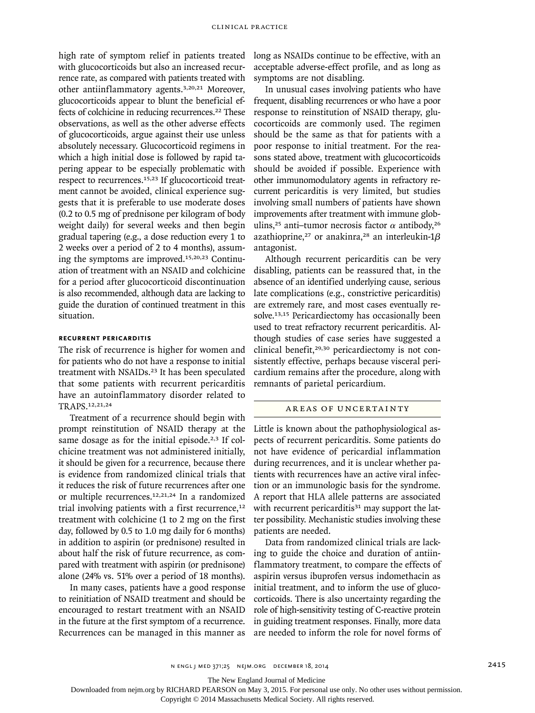high rate of symptom relief in patients treated with glucocorticoids but also an increased recurrence rate, as compared with patients treated with other antiinflammatory agents.3,20,21 Moreover, glucocorticoids appear to blunt the beneficial effects of colchicine in reducing recurrences.<sup>22</sup> These observations, as well as the other adverse effects of glucocorticoids, argue against their use unless absolutely necessary. Glucocorticoid regimens in which a high initial dose is followed by rapid tapering appear to be especially problematic with respect to recurrences.15,23 If glucocorticoid treatment cannot be avoided, clinical experience suggests that it is preferable to use moderate doses (0.2 to 0.5 mg of prednisone per kilogram of body weight daily) for several weeks and then begin gradual tapering (e.g., a dose reduction every 1 to 2 weeks over a period of 2 to 4 months), assuming the symptoms are improved.15,20,23 Continuation of treatment with an NSAID and colchicine for a period after glucocorticoid discontinuation is also recommended, although data are lacking to guide the duration of continued treatment in this situation.

## **Recurrent Pericarditis**

The risk of recurrence is higher for women and for patients who do not have a response to initial treatment with NSAIDs.<sup>23</sup> It has been speculated that some patients with recurrent pericarditis have an autoinflammatory disorder related to TRAPS.12,21,24

Treatment of a recurrence should begin with prompt reinstitution of NSAID therapy at the same dosage as for the initial episode.<sup>2,3</sup> If colchicine treatment was not administered initially, it should be given for a recurrence, because there is evidence from randomized clinical trials that it reduces the risk of future recurrences after one or multiple recurrences.12,21,24 In a randomized trial involving patients with a first recurrence, $12$ treatment with colchicine (1 to 2 mg on the first day, followed by 0.5 to 1.0 mg daily for 6 months) in addition to aspirin (or prednisone) resulted in about half the risk of future recurrence, as compared with treatment with aspirin (or prednisone) alone (24% vs. 51% over a period of 18 months).

In many cases, patients have a good response to reinitiation of NSAID treatment and should be encouraged to restart treatment with an NSAID in the future at the first symptom of a recurrence. Recurrences can be managed in this manner as long as NSAIDs continue to be effective, with an acceptable adverse-effect profile, and as long as symptoms are not disabling.

In unusual cases involving patients who have frequent, disabling recurrences or who have a poor response to reinstitution of NSAID therapy, glucocorticoids are commonly used. The regimen should be the same as that for patients with a poor response to initial treatment. For the reasons stated above, treatment with glucocorticoids should be avoided if possible. Experience with other immunomodulatory agents in refractory recurrent pericarditis is very limited, but studies involving small numbers of patients have shown improvements after treatment with immune globulins,<sup>25</sup> anti-tumor necrosis factor  $\alpha$  antibody,<sup>26</sup> azathioprine,<sup>27</sup> or anakinra,<sup>28</sup> an interleukin-1 $\beta$ antagonist.

Although recurrent pericarditis can be very disabling, patients can be reassured that, in the absence of an identified underlying cause, serious late complications (e.g., constrictive pericarditis) are extremely rare, and most cases eventually resolve.<sup>13,15</sup> Pericardiectomy has occasionally been used to treat refractory recurrent pericarditis. Although studies of case series have suggested a clinical benefit,<sup>29,30</sup> pericardiectomy is not consistently effective, perhaps because visceral pericardium remains after the procedure, along with remnants of parietal pericardium.

#### Areas of Uncertainty

Little is known about the pathophysiological aspects of recurrent pericarditis. Some patients do not have evidence of pericardial inflammation during recurrences, and it is unclear whether patients with recurrences have an active viral infection or an immunologic basis for the syndrome. A report that HLA allele patterns are associated with recurrent pericarditis $31$  may support the latter possibility. Mechanistic studies involving these patients are needed.

Data from randomized clinical trials are lacking to guide the choice and duration of antiinflammatory treatment, to compare the effects of aspirin versus ibuprofen versus indomethacin as initial treatment, and to inform the use of glucocorticoids. There is also uncertainty regarding the role of high-sensitivity testing of C-reactive protein in guiding treatment responses. Finally, more data are needed to inform the role for novel forms of

The New England Journal of Medicine

Downloaded from nejm.org by RICHARD PEARSON on May 3, 2015. For personal use only. No other uses without permission.